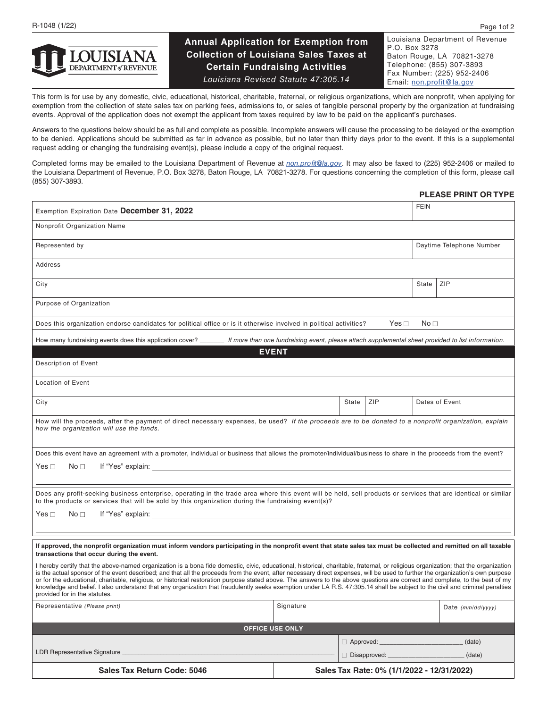

# **Annual Application for Exemption from Collection of Louisiana Sales Taxes at Certain Fundraising Activities** *Louisiana Revised Statute 47:305.14*

Louisiana Department of Revenue P.O. Box 3278 Baton Rouge, LA 70821-3278 Telephone: (855) 307-3893 Fax Number: (225) 952-2406 Email: [non.profit@la.gov](mailto:non.profit%40la.gov?subject=)

This form is for use by any domestic, civic, educational, historical, charitable, fraternal, or religious organizations, which are nonprofit, when applying for exemption from the collection of state sales tax on parking fees, admissions to, or sales of tangible personal property by the organization at fundraising events. Approval of the application does not exempt the applicant from taxes required by law to be paid on the applicant's purchases.

Answers to the questions below should be as full and complete as possible. Incomplete answers will cause the processing to be delayed or the exemption to be denied. Applications should be submitted as far in advance as possible, but no later than thirty days prior to the event. If this is a supplemental request adding or changing the fundraising event(s), please include a copy of the original request.

Completed forms may be emailed to the Louisiana Department of Revenue at *[non.profit@la.gov](mailto:non.profit%40la.gov?subject=)*. It may also be faxed to (225) 952-2406 or mailed to the Louisiana Department of Revenue, P.O. Box 3278, Baton Rouge, LA 70821-3278. For questions concerning the completion of this form, please call (855) 307-3893.

### **PLEASE PRINT OR TYPE**

| Exemption Expiration Date December 31, 2022                                                                                                                                                                                                                                                                                                                                                                                                                                                                                                                                                                                                                                                                                                                              |                                            |                  | <b>FEIN</b>              |       |                     |  |  |  |
|--------------------------------------------------------------------------------------------------------------------------------------------------------------------------------------------------------------------------------------------------------------------------------------------------------------------------------------------------------------------------------------------------------------------------------------------------------------------------------------------------------------------------------------------------------------------------------------------------------------------------------------------------------------------------------------------------------------------------------------------------------------------------|--------------------------------------------|------------------|--------------------------|-------|---------------------|--|--|--|
| Nonprofit Organization Name                                                                                                                                                                                                                                                                                                                                                                                                                                                                                                                                                                                                                                                                                                                                              |                                            |                  |                          |       |                     |  |  |  |
| Represented by                                                                                                                                                                                                                                                                                                                                                                                                                                                                                                                                                                                                                                                                                                                                                           |                                            |                  | Daytime Telephone Number |       |                     |  |  |  |
| Address                                                                                                                                                                                                                                                                                                                                                                                                                                                                                                                                                                                                                                                                                                                                                                  |                                            |                  |                          |       |                     |  |  |  |
| City                                                                                                                                                                                                                                                                                                                                                                                                                                                                                                                                                                                                                                                                                                                                                                     |                                            |                  |                          | State | ZIP                 |  |  |  |
| Purpose of Organization                                                                                                                                                                                                                                                                                                                                                                                                                                                                                                                                                                                                                                                                                                                                                  |                                            |                  |                          |       |                     |  |  |  |
| Does this organization endorse candidates for political office or is it otherwise involved in political activities?<br>Yes $\square$<br>No <sub>1</sub>                                                                                                                                                                                                                                                                                                                                                                                                                                                                                                                                                                                                                  |                                            |                  |                          |       |                     |  |  |  |
| How many fundraising events does this application cover? _____ If more than one fundraising event, please attach supplemental sheet provided to list information.                                                                                                                                                                                                                                                                                                                                                                                                                                                                                                                                                                                                        |                                            |                  |                          |       |                     |  |  |  |
| <b>EVENT</b>                                                                                                                                                                                                                                                                                                                                                                                                                                                                                                                                                                                                                                                                                                                                                             |                                            |                  |                          |       |                     |  |  |  |
| Description of Event                                                                                                                                                                                                                                                                                                                                                                                                                                                                                                                                                                                                                                                                                                                                                     |                                            |                  |                          |       |                     |  |  |  |
| <b>Location of Event</b>                                                                                                                                                                                                                                                                                                                                                                                                                                                                                                                                                                                                                                                                                                                                                 |                                            |                  |                          |       |                     |  |  |  |
| City                                                                                                                                                                                                                                                                                                                                                                                                                                                                                                                                                                                                                                                                                                                                                                     |                                            | State            | <b>ZIP</b>               |       | Dates of Event      |  |  |  |
| How will the proceeds, after the payment of direct necessary expenses, be used? If the proceeds are to be donated to a nonprofit organization, explain<br>how the organization will use the funds.                                                                                                                                                                                                                                                                                                                                                                                                                                                                                                                                                                       |                                            |                  |                          |       |                     |  |  |  |
| Does this event have an agreement with a promoter, individual or business that allows the promoter/individual/business to share in the proceeds from the event?                                                                                                                                                                                                                                                                                                                                                                                                                                                                                                                                                                                                          |                                            |                  |                          |       |                     |  |  |  |
| Yes □<br>No <sub>1</sub>                                                                                                                                                                                                                                                                                                                                                                                                                                                                                                                                                                                                                                                                                                                                                 |                                            |                  |                          |       |                     |  |  |  |
|                                                                                                                                                                                                                                                                                                                                                                                                                                                                                                                                                                                                                                                                                                                                                                          |                                            |                  |                          |       |                     |  |  |  |
| Does any profit-seeking business enterprise, operating in the trade area where this event will be held, sell products or services that are identical or similar<br>to the products or services that will be sold by this organization during the fundraising event(s)?                                                                                                                                                                                                                                                                                                                                                                                                                                                                                                   |                                            |                  |                          |       |                     |  |  |  |
| Yes ⊓<br>No <sub>1</sub>                                                                                                                                                                                                                                                                                                                                                                                                                                                                                                                                                                                                                                                                                                                                                 |                                            |                  |                          |       |                     |  |  |  |
|                                                                                                                                                                                                                                                                                                                                                                                                                                                                                                                                                                                                                                                                                                                                                                          |                                            |                  |                          |       |                     |  |  |  |
| If approved, the nonprofit organization must inform vendors participating in the nonprofit event that state sales tax must be collected and remitted on all taxable<br>transactions that occur during the event.                                                                                                                                                                                                                                                                                                                                                                                                                                                                                                                                                         |                                            |                  |                          |       |                     |  |  |  |
| I hereby certify that the above-named organization is a bona fide domestic, civic, educational, historical, charitable, fraternal, or religious organization; that the organization<br>is the actual sponsor of the event described; and that all the proceeds from the event, after necessary direct expenses, will be used to further the organization's own purpose<br>or for the educational, charitable, religious, or historical restoration purpose stated above. The answers to the above questions are correct and complete, to the best of my<br>knowledge and belief. I also understand that any organization that fraudulently seeks exemption under LA R.S. 47:305.14 shall be subject to the civil and criminal penalties<br>provided for in the statutes. |                                            |                  |                          |       |                     |  |  |  |
| Representative (Please print)                                                                                                                                                                                                                                                                                                                                                                                                                                                                                                                                                                                                                                                                                                                                            | Signature                                  |                  |                          |       | Date $(mm/dd/yyyy)$ |  |  |  |
| <b>OFFICE USE ONLY</b>                                                                                                                                                                                                                                                                                                                                                                                                                                                                                                                                                                                                                                                                                                                                                   |                                            |                  |                          |       |                     |  |  |  |
|                                                                                                                                                                                                                                                                                                                                                                                                                                                                                                                                                                                                                                                                                                                                                                          |                                            | $\Box$ Approved: |                          |       | (date)              |  |  |  |
| <b>LDR Representative Signature</b>                                                                                                                                                                                                                                                                                                                                                                                                                                                                                                                                                                                                                                                                                                                                      |                                            |                  | $\Box$ Disapproved:      |       | (date)              |  |  |  |
| Sales Tax Return Code: 5046                                                                                                                                                                                                                                                                                                                                                                                                                                                                                                                                                                                                                                                                                                                                              | Sales Tax Rate: 0% (1/1/2022 - 12/31/2022) |                  |                          |       |                     |  |  |  |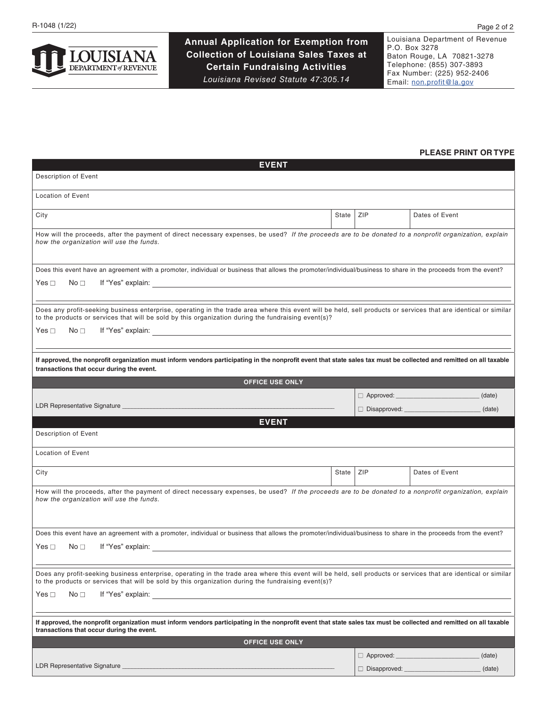**Annual Application for Exemption from Collection of Louisiana Sales Taxes at Certain Fundraising Activities** *Louisiana Revised Statute 47:305.14*

Louisiana Department of Revenue P.O. Box 3278 Baton Rouge, LA 70821-3278 Telephone: (855) 307-3893 Fax Number: (225) 952-2406 Email: [non.profit@la.gov](mailto:non.profit%40la.gov?subject=)

## **PLEASE PRINT OR TYPE**

| <b>EVENT</b>                                                                                                                                                                                                                                                           |       |     |                                                   |  |  |  |
|------------------------------------------------------------------------------------------------------------------------------------------------------------------------------------------------------------------------------------------------------------------------|-------|-----|---------------------------------------------------|--|--|--|
| Description of Event                                                                                                                                                                                                                                                   |       |     |                                                   |  |  |  |
| <b>Location of Event</b>                                                                                                                                                                                                                                               |       |     |                                                   |  |  |  |
| City                                                                                                                                                                                                                                                                   | State | ZIP | Dates of Event                                    |  |  |  |
| How will the proceeds, after the payment of direct necessary expenses, be used? If the proceeds are to be donated to a nonprofit organization, explain<br>how the organization will use the funds.                                                                     |       |     |                                                   |  |  |  |
| Does this event have an agreement with a promoter, individual or business that allows the promoter/individual/business to share in the proceeds from the event?                                                                                                        |       |     |                                                   |  |  |  |
| Yes $\Box$<br>No <sub>1</sub>                                                                                                                                                                                                                                          |       |     |                                                   |  |  |  |
| Does any profit-seeking business enterprise, operating in the trade area where this event will be held, sell products or services that are identical or similar<br>to the products or services that will be sold by this organization during the fundraising event(s)? |       |     |                                                   |  |  |  |
| Yes $\Box$<br>No <sub>1</sub><br>If "Yes" explain: Note of the state of the state of the state of the state of the state of the state of the state of the state of the state of the state of the state of the state of the state of the state of the state of t        |       |     |                                                   |  |  |  |
| If approved, the nonprofit organization must inform vendors participating in the nonprofit event that state sales tax must be collected and remitted on all taxable                                                                                                    |       |     |                                                   |  |  |  |
| transactions that occur during the event.                                                                                                                                                                                                                              |       |     |                                                   |  |  |  |
| <b>OFFICE USE ONLY</b>                                                                                                                                                                                                                                                 |       |     |                                                   |  |  |  |
| LDR Representative Signature and the contract of the contract of the contract of the contract of the contract of the contract of the contract of the contract of the contract of the contract of the contract of the contract                                          |       |     | (date)                                            |  |  |  |
|                                                                                                                                                                                                                                                                        |       |     | $\Box$ Disapproved: $\Box$ Disapproved:<br>(date) |  |  |  |
|                                                                                                                                                                                                                                                                        |       |     |                                                   |  |  |  |
| <b>EVENT</b>                                                                                                                                                                                                                                                           |       |     |                                                   |  |  |  |
| Description of Event                                                                                                                                                                                                                                                   |       |     |                                                   |  |  |  |
| <b>Location of Event</b>                                                                                                                                                                                                                                               |       |     |                                                   |  |  |  |
| City                                                                                                                                                                                                                                                                   | State | ZIP | Dates of Event                                    |  |  |  |
| How will the proceeds, after the payment of direct necessary expenses, be used? If the proceeds are to be donated to a nonprofit organization, explain<br>how the organization will use the funds.                                                                     |       |     |                                                   |  |  |  |
| Does this event have an agreement with a promoter, individual or business that allows the promoter/individual/business to share in the proceeds from the event?                                                                                                        |       |     |                                                   |  |  |  |
| Yes $\Box$<br>No <sub>1</sub>                                                                                                                                                                                                                                          |       |     |                                                   |  |  |  |
| Does any profit-seeking business enterprise, operating in the trade area where this event will be held, sell products or services that are identical or similar<br>to the products or services that will be sold by this organization during the fundraising event(s)? |       |     |                                                   |  |  |  |
| Yes $\Box$<br>No <sub>1</sub>                                                                                                                                                                                                                                          |       |     |                                                   |  |  |  |
|                                                                                                                                                                                                                                                                        |       |     |                                                   |  |  |  |
| If approved, the nonprofit organization must inform vendors participating in the nonprofit event that state sales tax must be collected and remitted on all taxable<br>transactions that occur during the event.                                                       |       |     |                                                   |  |  |  |
| <b>OFFICE USE ONLY</b>                                                                                                                                                                                                                                                 |       |     |                                                   |  |  |  |
| LDR Representative Signature                                                                                                                                                                                                                                           |       |     | (date)<br>(date)                                  |  |  |  |